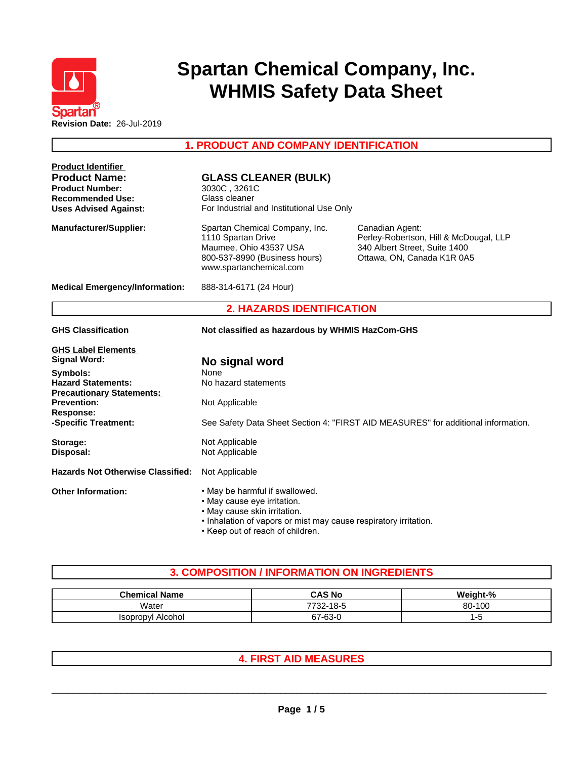

# **Spartan Chemical Company, Inc. WHMIS Safety Data Sheet**

### **1. PRODUCT AND COMPANY IDENTIFICATION**

| <b>Product Identifier</b><br><b>Product Name:</b><br><b>Product Number:</b><br><b>Recommended Use:</b><br><b>Uses Advised Against:</b>                                                                                   | <b>GLASS CLEANER (BULK)</b><br>3030C, 3261C<br>Glass cleaner<br>For Industrial and Institutional Use Only                                                                                             |                                                                                                                          |
|--------------------------------------------------------------------------------------------------------------------------------------------------------------------------------------------------------------------------|-------------------------------------------------------------------------------------------------------------------------------------------------------------------------------------------------------|--------------------------------------------------------------------------------------------------------------------------|
| <b>Manufacturer/Supplier:</b>                                                                                                                                                                                            | Spartan Chemical Company, Inc.<br>1110 Spartan Drive<br>Maumee, Ohio 43537 USA<br>800-537-8990 (Business hours)<br>www.spartanchemical.com                                                            | Canadian Agent:<br>Perley-Robertson, Hill & McDougal, LLP<br>340 Albert Street, Suite 1400<br>Ottawa, ON, Canada K1R 0A5 |
| <b>Medical Emergency/Information:</b>                                                                                                                                                                                    | 888-314-6171 (24 Hour)                                                                                                                                                                                |                                                                                                                          |
|                                                                                                                                                                                                                          | <b>2. HAZARDS IDENTIFICATION</b>                                                                                                                                                                      |                                                                                                                          |
| <b>GHS Classification</b>                                                                                                                                                                                                | Not classified as hazardous by WHMIS HazCom-GHS                                                                                                                                                       |                                                                                                                          |
| <b>GHS Label Elements</b><br><b>Signal Word:</b><br>Symbols:<br><b>Hazard Statements:</b><br><b>Precautionary Statements:</b><br><b>Prevention:</b><br><b>Response:</b><br>-Specific Treatment:<br>Storage:<br>Disposal: | No signal word<br><b>None</b><br>No hazard statements<br>Not Applicable<br>Not Applicable<br>Not Applicable                                                                                           | See Safety Data Sheet Section 4: "FIRST AID MEASURES" for additional information.                                        |
| <b>Hazards Not Otherwise Classified:</b>                                                                                                                                                                                 | Not Applicable                                                                                                                                                                                        |                                                                                                                          |
| <b>Other Information:</b>                                                                                                                                                                                                | . May be harmful if swallowed.<br>• May cause eye irritation.<br>• May cause skin irritation.<br>. Inhalation of vapors or mist may cause respiratory irritation.<br>• Keep out of reach of children. |                                                                                                                          |

## **3. COMPOSITION / INFORMATION ON INGREDIENTS**

| <b>Chemical Name</b>        | <b>CAS No</b>    | Weinht-% |
|-----------------------------|------------------|----------|
| Water                       | 732-18-5<br>770' | 80-100   |
| Alcohol<br><i>Isopropul</i> | $67 - 63 - 0$    |          |

## **4. FIRST AID MEASURES**

 $\_$  ,  $\_$  ,  $\_$  ,  $\_$  ,  $\_$  ,  $\_$  ,  $\_$  ,  $\_$  ,  $\_$  ,  $\_$  ,  $\_$  ,  $\_$  ,  $\_$  ,  $\_$  ,  $\_$  ,  $\_$  ,  $\_$  ,  $\_$  ,  $\_$  ,  $\_$  ,  $\_$  ,  $\_$  ,  $\_$  ,  $\_$  ,  $\_$  ,  $\_$  ,  $\_$  ,  $\_$  ,  $\_$  ,  $\_$  ,  $\_$  ,  $\_$  ,  $\_$  ,  $\_$  ,  $\_$  ,  $\_$  ,  $\_$  ,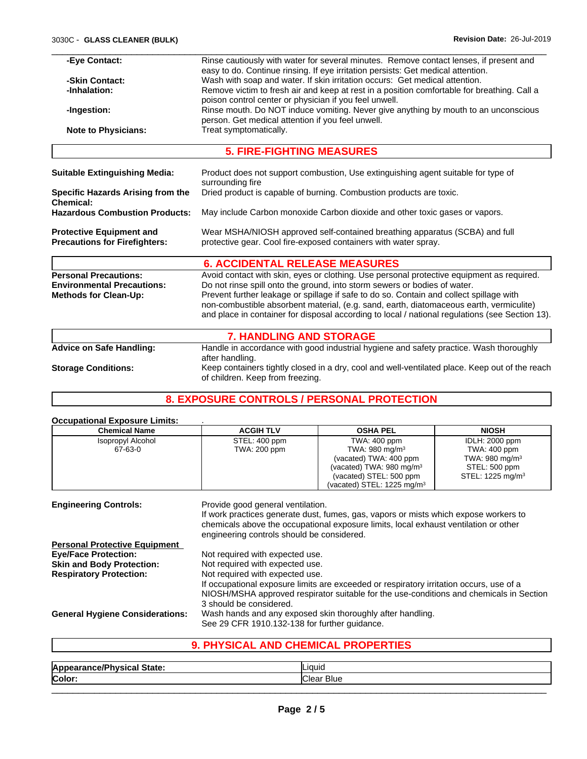| -Eye Contact:                                                           | Rinse cautiously with water for several minutes. Remove contact lenses, if present and<br>easy to do. Continue rinsing. If eye irritation persists: Get medical attention.                                                                                                            |  |  |  |
|-------------------------------------------------------------------------|---------------------------------------------------------------------------------------------------------------------------------------------------------------------------------------------------------------------------------------------------------------------------------------|--|--|--|
| -Skin Contact:                                                          | Wash with soap and water. If skin irritation occurs: Get medical attention.                                                                                                                                                                                                           |  |  |  |
| -Inhalation:                                                            | Remove victim to fresh air and keep at rest in a position comfortable for breathing. Call a                                                                                                                                                                                           |  |  |  |
|                                                                         | poison control center or physician if you feel unwell.                                                                                                                                                                                                                                |  |  |  |
| -Ingestion:                                                             | Rinse mouth. Do NOT induce vomiting. Never give anything by mouth to an unconscious<br>person. Get medical attention if you feel unwell.<br>Treat symptomatically.                                                                                                                    |  |  |  |
| <b>Note to Physicians:</b>                                              |                                                                                                                                                                                                                                                                                       |  |  |  |
|                                                                         | <b>5. FIRE-FIGHTING MEASURES</b>                                                                                                                                                                                                                                                      |  |  |  |
|                                                                         |                                                                                                                                                                                                                                                                                       |  |  |  |
| Suitable Extinguishing Media:                                           | Product does not support combustion, Use extinguishing agent suitable for type of<br>surrounding fire                                                                                                                                                                                 |  |  |  |
| <b>Specific Hazards Arising from the</b><br><b>Chemical:</b>            | Dried product is capable of burning. Combustion products are toxic.                                                                                                                                                                                                                   |  |  |  |
| <b>Hazardous Combustion Products:</b>                                   | May include Carbon monoxide Carbon dioxide and other toxic gases or vapors.                                                                                                                                                                                                           |  |  |  |
| <b>Protective Equipment and</b><br><b>Precautions for Firefighters:</b> | Wear MSHA/NIOSH approved self-contained breathing apparatus (SCBA) and full<br>protective gear. Cool fire-exposed containers with water spray.                                                                                                                                        |  |  |  |
|                                                                         | <b>6. ACCIDENTAL RELEASE MEASURES</b>                                                                                                                                                                                                                                                 |  |  |  |
| <b>Personal Precautions:</b>                                            | Avoid contact with skin, eyes or clothing. Use personal protective equipment as required.                                                                                                                                                                                             |  |  |  |
| <b>Environmental Precautions:</b>                                       | Do not rinse spill onto the ground, into storm sewers or bodies of water.                                                                                                                                                                                                             |  |  |  |
| Methods for Clean-Up:                                                   | Prevent further leakage or spillage if safe to do so. Contain and collect spillage with<br>non-combustible absorbent material, (e.g. sand, earth, diatomaceous earth, vermiculite)<br>and place in container for disposal according to local / national regulations (see Section 13). |  |  |  |
|                                                                         |                                                                                                                                                                                                                                                                                       |  |  |  |

|                                 | <b>7. HANDLING AND STORAGE</b>                                                                                                     |
|---------------------------------|------------------------------------------------------------------------------------------------------------------------------------|
| <b>Advice on Safe Handling:</b> | Handle in accordance with good industrial hygiene and safety practice. Wash thoroughly                                             |
|                                 | after handling.                                                                                                                    |
| <b>Storage Conditions:</b>      | Keep containers tightly closed in a dry, cool and well-ventilated place. Keep out of the reach<br>of children. Keep from freezing. |

## **8. EXPOSURE CONTROLS / PERSONAL PROTECTION**

#### **Occupational Exposure Limits:** .

| <b>Chemical Name</b>                                            | <b>ACGIH TLV</b>                                                                                                                                                                                                                                 | <b>OSHA PEL</b>                                                                                                                                                              | <b>NIOSH</b>                               |  |
|-----------------------------------------------------------------|--------------------------------------------------------------------------------------------------------------------------------------------------------------------------------------------------------------------------------------------------|------------------------------------------------------------------------------------------------------------------------------------------------------------------------------|--------------------------------------------|--|
| Isopropyl Alcohol<br>67-63-0                                    | STEL: 400 ppm<br>TWA: 200 ppm                                                                                                                                                                                                                    | TWA: 400 ppm<br>TWA: 980 mg/m <sup>3</sup>                                                                                                                                   | <b>IDLH: 2000 ppm</b><br>TWA: 400 ppm      |  |
|                                                                 |                                                                                                                                                                                                                                                  | (vacated) TWA: 400 ppm<br>(vacated) TWA: 980 mg/m <sup>3</sup>                                                                                                               | TWA: $980 \text{ mg/m}^3$<br>STEL: 500 ppm |  |
|                                                                 |                                                                                                                                                                                                                                                  | (vacated) STEL: 500 ppm<br>(vacated) STEL: 1225 mg/m <sup>3</sup>                                                                                                            | STEL: 1225 mg/m <sup>3</sup>               |  |
| <b>Engineering Controls:</b>                                    | Provide good general ventilation.<br>engineering controls should be considered.                                                                                                                                                                  | If work practices generate dust, fumes, gas, vapors or mists which expose workers to<br>chemicals above the occupational exposure limits, local exhaust ventilation or other |                                            |  |
| <b>Personal Protective Equipment</b>                            |                                                                                                                                                                                                                                                  |                                                                                                                                                                              |                                            |  |
| <b>Eye/Face Protection:</b><br><b>Skin and Body Protection:</b> | Not required with expected use.<br>Not required with expected use.                                                                                                                                                                               |                                                                                                                                                                              |                                            |  |
| <b>Respiratory Protection:</b>                                  | Not required with expected use.<br>If occupational exposure limits are exceeded or respiratory irritation occurs, use of a<br>NIOSH/MSHA approved respirator suitable for the use-conditions and chemicals in Section<br>3 should be considered. |                                                                                                                                                                              |                                            |  |
| <b>General Hygiene Considerations:</b>                          | Wash hands and any exposed skin thoroughly after handling.<br>See 29 CFR 1910.132-138 for further quidance.                                                                                                                                      |                                                                                                                                                                              |                                            |  |

## **9. PHYSICAL AND CHEMICAL PROPERTIES**

| əldle  | Liquid - |  |
|--------|----------|--|
| Color: |          |  |
|        |          |  |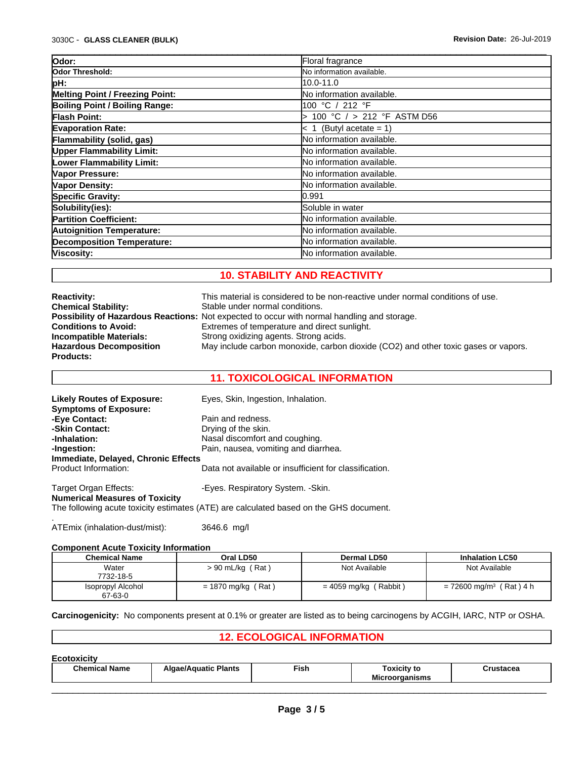| Odor:                             | Floral fragrance                 |  |
|-----------------------------------|----------------------------------|--|
| Odor Threshold:                   | No information available.        |  |
| pH:                               | 10.0-11.0                        |  |
| Melting Point / Freezing Point:   | <b>No information available.</b> |  |
| Boiling Point / Boiling Range:    | 100 °C / 212 °F                  |  |
| <b>Flash Point:</b>               | 100 °C $/$ > 212 °F ASTM D56     |  |
| <b>Evaporation Rate:</b>          | $\leq 1$ (Butyl acetate = 1)     |  |
| <b>Flammability (solid, gas)</b>  | lNo information available.       |  |
| <b>Upper Flammability Limit:</b>  | No information available.        |  |
| <b>Lower Flammability Limit:</b>  | No information available.        |  |
| Vapor Pressure:                   | No information available.        |  |
| Vapor Density:                    | lNo information available.       |  |
| <b>Specific Gravity:</b>          | 0.991                            |  |
| Solubility(ies):                  | Soluble in water                 |  |
| <b>Partition Coefficient:</b>     | No information available.        |  |
| <b>Autoignition Temperature:</b>  | No information available.        |  |
| <b>Decomposition Temperature:</b> | No information available.        |  |
| Viscosity:                        | No information available.        |  |

#### **10. STABILITY AND REACTIVITY**

| <b>Reactivity:</b>             | This material is considered to be non-reactive under normal conditions of use.                     |
|--------------------------------|----------------------------------------------------------------------------------------------------|
| <b>Chemical Stability:</b>     | Stable under normal conditions.                                                                    |
|                                | <b>Possibility of Hazardous Reactions:</b> Not expected to occur with normal handling and storage. |
| <b>Conditions to Avoid:</b>    | Extremes of temperature and direct sunlight.                                                       |
| <b>Incompatible Materials:</b> | Strong oxidizing agents. Strong acids.                                                             |
| <b>Hazardous Decomposition</b> | May include carbon monoxide, carbon dioxide (CO2) and other toxic gases or vapors.                 |
| <b>Products:</b>               |                                                                                                    |

#### **11. TOXICOLOGICAL INFORMATION**

| <b>Likely Routes of Exposure:</b><br><b>Symptoms of Exposure:</b> | Eyes, Skin, Ingestion, Inhalation.                                                     |
|-------------------------------------------------------------------|----------------------------------------------------------------------------------------|
| -Eye Contact:                                                     | Pain and redness.                                                                      |
| -Skin Contact:                                                    | Drying of the skin.                                                                    |
| -Inhalation:                                                      | Nasal discomfort and coughing.                                                         |
| -Ingestion:                                                       | Pain, nausea, vomiting and diarrhea.                                                   |
| Immediate, Delayed, Chronic Effects                               |                                                                                        |
| Product Information:                                              | Data not available or insufficient for classification.                                 |
| Target Organ Effects:                                             | -Eyes. Respiratory System. -Skin.                                                      |
| <b>Numerical Measures of Toxicity</b>                             | The following acute toxicity estimates (ATE) are calculated based on the GHS document. |

.ATEmix (inhalation-dust/mist): 3646.6 mg/l

#### **Component Acute Toxicity Information**

| <b>Chemical Name</b>         | Oral LD50            | <b>Dermal LD50</b>      | <b>Inhalation LC50</b>                |
|------------------------------|----------------------|-------------------------|---------------------------------------|
| Water<br>7732-18-5           | $> 90$ mL/kg (Rat)   | Not Available           | Not Available                         |
| Isopropyl Alcohol<br>67-63-0 | $= 1870$ mg/kg (Rat) | $= 4059$ mg/kg (Rabbit) | $= 72600$ mg/m <sup>3</sup> (Rat) 4 h |

#### **Carcinogenicity:** No components present at 0.1% or greater are listed as to being carcinogens by ACGIH, IARC, NTP or OSHA.

#### **12. ECOLOGICAL INFORMATION**

| <b>Chemical Name</b><br>Fish<br><b>Algae/Aquatic Plants</b><br>Toxicity to<br>:rustacea<br><b>B.A.S.</b> | <b>Ecotoxicity</b> |  |                       |  |
|----------------------------------------------------------------------------------------------------------|--------------------|--|-----------------------|--|
|                                                                                                          |                    |  | <b>Microorganisms</b> |  |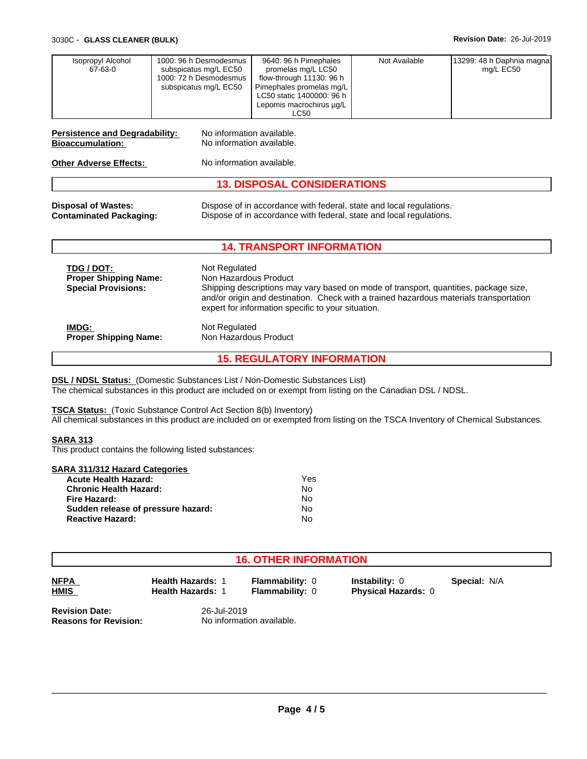| TDG / DOT:<br><b>Proper Shipping Name:</b><br><b>Special Provisions:</b> | Not Regulated<br>Non Hazardous Product<br>Shipping descriptions may vary based on mode of transport, quantities, package size,<br>and/or origin and destination. Check with a trained hazardous materials transportation<br>expert for information specific to your situation. |
|--------------------------------------------------------------------------|--------------------------------------------------------------------------------------------------------------------------------------------------------------------------------------------------------------------------------------------------------------------------------|
| IMDG:                                                                    | Not Regulated                                                                                                                                                                                                                                                                  |
| <b>Proper Shipping Name:</b>                                             | Non Hazardous Product                                                                                                                                                                                                                                                          |

**15. REGULATORY INFORMATION**

**DSL / NDSL Status:** (Domestic Substances List / Non-Domestic Substances List) The chemical substances in this product are included on or exempt from listing on the Canadian DSL / NDSL.

**TSCA Status:** (Toxic Substance Control Act Section 8(b) Inventory) All chemical substances in this product are included on or exempted from listing on the TSCA Inventory of Chemical Substances.

#### **SARA 313**

This product contains the following listed substances:

| SARA 311/312 Hazard Categories     |     |  |
|------------------------------------|-----|--|
| <b>Acute Health Hazard:</b>        | Yes |  |
| <b>Chronic Health Hazard:</b>      | No  |  |
| Fire Hazard:                       | No  |  |
| Sudden release of pressure hazard: | No  |  |
| <b>Reactive Hazard:</b>            | N٥  |  |

#### **16. OTHER INFORMATION**

| NFPA |  |
|------|--|
| HMIS |  |

**Health Hazards:** 1

**Flammability:** 0 **Instability:** 0

**Flammability: 0 Physical Hazards: 0** 

**Special:** N/A

**Revision Date:** 26-Jul-2019<br>**Reasons for Revision:** 26 No information

**Reasons for Revision:** No information available.

 $\_$  ,  $\_$  ,  $\_$  ,  $\_$  ,  $\_$  ,  $\_$  ,  $\_$  ,  $\_$  ,  $\_$  ,  $\_$  ,  $\_$  ,  $\_$  ,  $\_$  ,  $\_$  ,  $\_$  ,  $\_$  ,  $\_$  ,  $\_$  ,  $\_$  ,  $\_$  ,  $\_$  ,  $\_$  ,  $\_$  ,  $\_$  ,  $\_$  ,  $\_$  ,  $\_$  ,  $\_$  ,  $\_$  ,  $\_$  ,  $\_$  ,  $\_$  ,  $\_$  ,  $\_$  ,  $\_$  ,  $\_$  ,  $\_$  ,